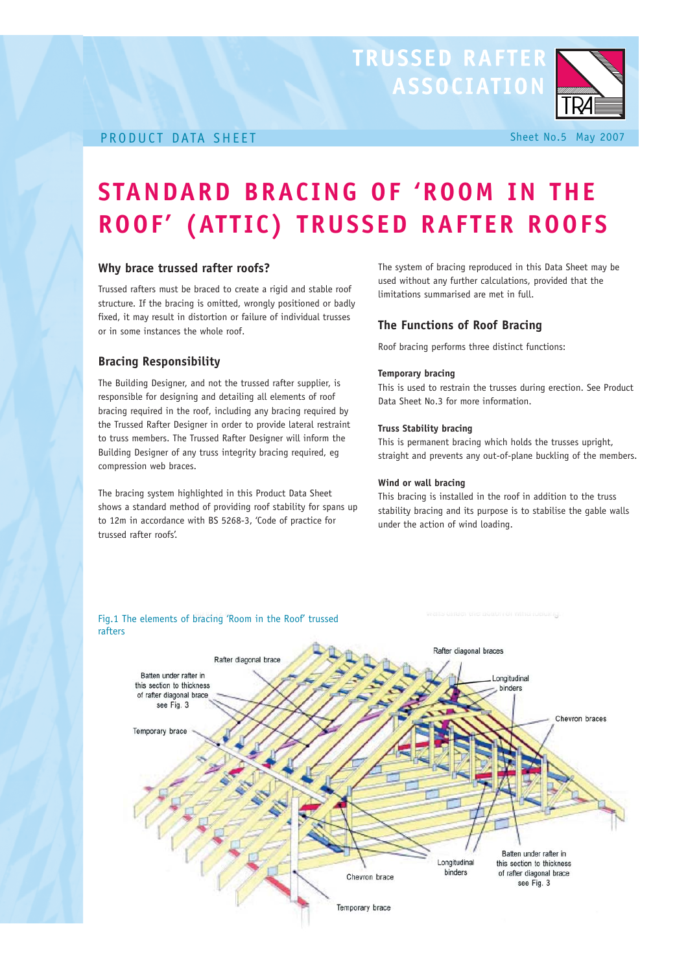# TRUSSED RAFTER



#### PRODUCT DATA SHEET Sheet No.5 May 2007

## **STANDARD BRACING OF 'ROOM IN THE ROOF' (ATTIC) TRUSSED RAFTER ROOFS**

#### **Why brace trussed rafter roofs?**

Trussed rafters must be braced to create a rigid and stable roof structure. If the bracing is omitted, wrongly positioned or badly fixed, it may result in distortion or failure of individual trusses or in some instances the whole roof.

#### **Bracing Responsibility**

The Building Designer, and not the trussed rafter supplier, is responsible for designing and detailing all elements of roof bracing required in the roof, including any bracing required by the Trussed Rafter Designer in order to provide lateral restraint to truss members. The Trussed Rafter Designer will inform the Building Designer of any truss integrity bracing required, eg compression web braces.

The bracing system highlighted in this Product Data Sheet shows a standard method of providing roof stability for spans up to 12m in accordance with BS 5268-3, 'Code of practice for trussed rafter roofs'.

The system of bracing reproduced in this Data Sheet may be used without any further calculations, provided that the limitations summarised are met in full.

#### **The Functions of Roof Bracing**

Roof bracing performs three distinct functions:

#### **Temporary bracing**

This is used to restrain the trusses during erection. See Product Data Sheet No.3 for more information.

#### **Truss Stability bracing**

This is permanent bracing which holds the trusses upright, straight and prevents any out-of-plane buckling of the members.

#### **Wind or wall bracing**

This bracing is installed in the roof in addition to the truss stability bracing and its purpose is to stabilise the gable walls under the action of wind loading.

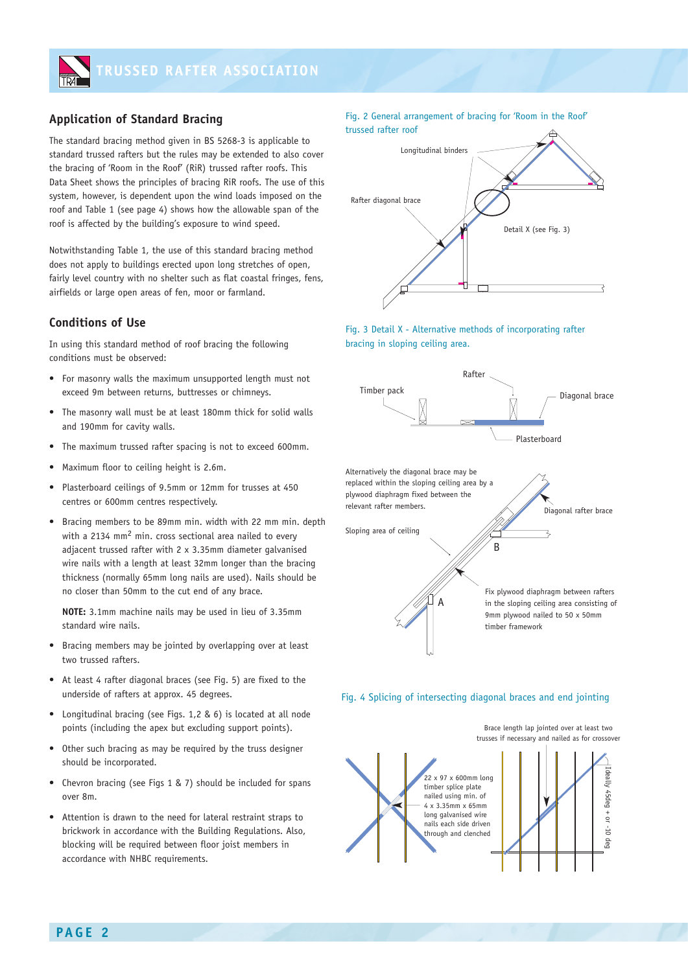

### **Application of Standard Bracing**

The standard bracing method given in BS 5268-3 is applicable to standard trussed rafters but the rules may be extended to also cover the bracing of 'Room in the Roof' (RiR) trussed rafter roofs. This Data Sheet shows the principles of bracing RiR roofs. The use of this system, however, is dependent upon the wind loads imposed on the roof and Table 1 (see page 4) shows how the allowable span of the roof is affected by the building's exposure to wind speed.

Notwithstanding Table 1, the use of this standard bracing method does not apply to buildings erected upon long stretches of open, fairly level country with no shelter such as flat coastal fringes, fens, airfields or large open areas of fen, moor or farmland.

#### **Conditions of Use**

In using this standard method of roof bracing the following conditions must be observed:

- For masonry walls the maximum unsupported length must not exceed 9m between returns, buttresses or chimneys.
- The masonry wall must be at least 180mm thick for solid walls and 190mm for cavity walls.
- The maximum trussed rafter spacing is not to exceed 600mm.
- Maximum floor to ceiling height is 2.6m.
- Plasterboard ceilings of 9.5mm or 12mm for trusses at 450 centres or 600mm centres respectively.
- Bracing members to be 89mm min. width with 22 mm min. depth with a 2134 mm2 min. cross sectional area nailed to every adjacent trussed rafter with 2 x 3.35mm diameter galvanised wire nails with a length at least 32mm longer than the bracing thickness (normally 65mm long nails are used). Nails should be no closer than 50mm to the cut end of any brace.

**NOTE:** 3.1mm machine nails may be used in lieu of 3.35mm standard wire nails.

- Bracing members may be jointed by overlapping over at least two trussed rafters.
- At least 4 rafter diagonal braces (see Fig. 5) are fixed to the underside of rafters at approx. 45 degrees.
- Longitudinal bracing (see Figs. 1,2 & 6) is located at all node points (including the apex but excluding support points).
- Other such bracing as may be required by the truss designer should be incorporated.
- Chevron bracing (see Figs 1 & 7) should be included for spans over 8m.
- Attention is drawn to the need for lateral restraint straps to brickwork in accordance with the Building Regulations. Also, blocking will be required between floor joist members in accordance with NHBC requirements.

Fig. 2 General arrangement of bracing for 'Room in the Roof' trussed rafter roof



Fig. 3 Detail X - Alternative methods of incorporating rafter bracing in sloping ceiling area.





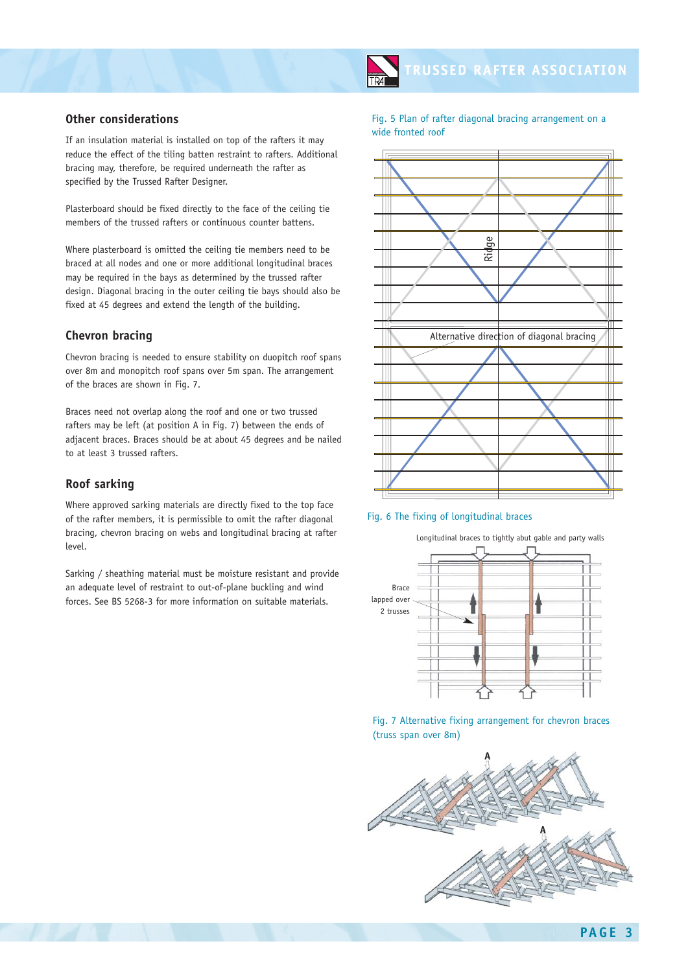#### **Other considerations**

If an insulation material is installed on top of the rafters it may reduce the effect of the tiling batten restraint to rafters. Additional bracing may, therefore, be required underneath the rafter as specified by the Trussed Rafter Designer.

Plasterboard should be fixed directly to the face of the ceiling tie members of the trussed rafters or continuous counter battens.

Where plasterboard is omitted the ceiling tie members need to be braced at all nodes and one or more additional longitudinal braces may be required in the bays as determined by the trussed rafter design. Diagonal bracing in the outer ceiling tie bays should also be fixed at 45 degrees and extend the length of the building.

#### **Chevron bracing**

Chevron bracing is needed to ensure stability on duopitch roof spans over 8m and monopitch roof spans over 5m span. The arrangement of the braces are shown in Fig. 7.

Braces need not overlap along the roof and one or two trussed rafters may be left (at position A in Fig. 7) between the ends of adjacent braces. Braces should be at about 45 degrees and be nailed to at least 3 trussed rafters.

#### **Roof sarking**

Where approved sarking materials are directly fixed to the top face of the rafter members, it is permissible to omit the rafter diagonal bracing, chevron bracing on webs and longitudinal bracing at rafter level.

Sarking / sheathing material must be moisture resistant and provide an adequate level of restraint to out-of-plane buckling and wind forces. See BS 5268-3 for more information on suitable materials.

Fig. 5 Plan of rafter diagonal bracing arrangement on a wide fronted roof





Longitudinal braces to tightly abut gable and party walls Brace lapped over 2 trusses